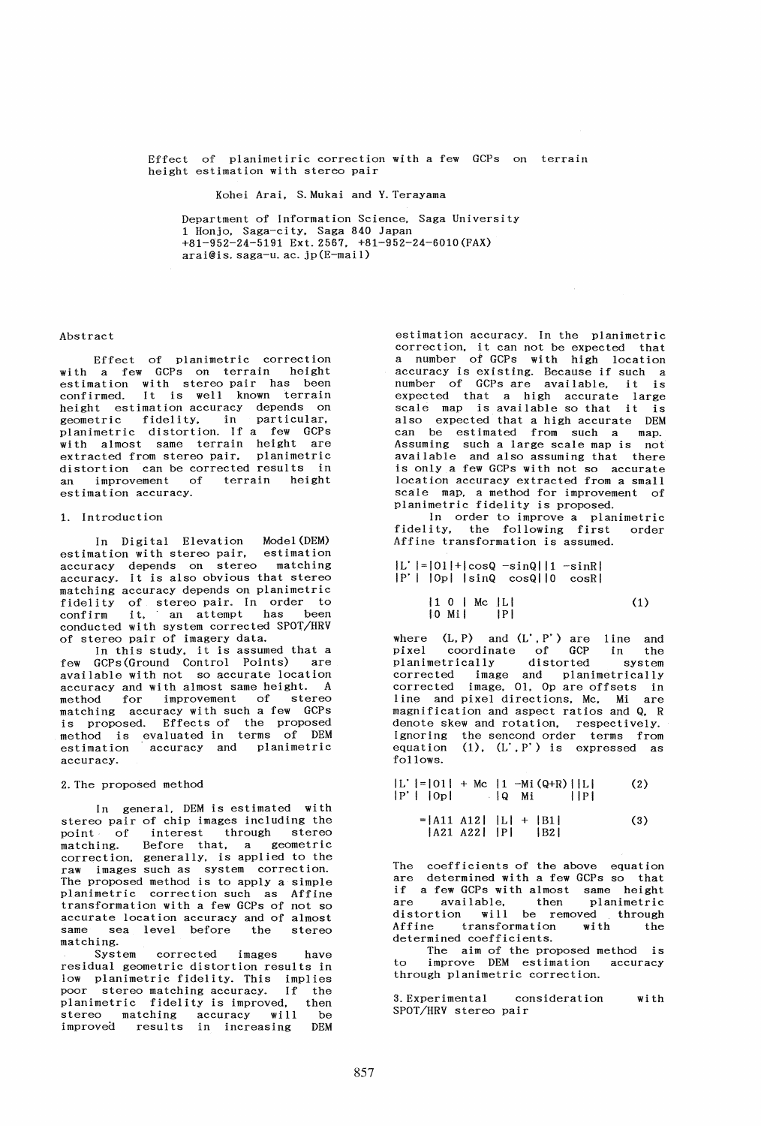Effect of planimetiric correction with a few GCPs on terrain height estimation with stereo pair

Kohei Arai. S.Mukai and Y.Terayama

Department of Information Science. Saga University 1 Honjo, Saga-city. Saga 840 Japan +81-952-24-5191 Ext. 2567, +81-952-24-6010 (FAX) arai@is.saga-u.ac.jp(E-mail)

### Abstract

Effect of planimetric correction with a few GCPs on terrain height estimation with stereo pair has been confirmed. It is well known terrain height estimation accuracy depends on norgne recommended ity, in particular, planimetric distortion. If a few GCPs with almost same terrain height are extracted from stereo pair, planimetric distortion can be corrected results in an improvement of terrain height estimation accuracy.

#### 1. Introduction

In Digital Elevation Model (DEM) estimation with stereo pair. estimation accuracy depends on stereo matching accuracy. It is also obvious that stereo matching accuracy depends on planimetric fidelity of stereo pair. In order to confirm it, an attempt has been conducted with system corrected SPOT/HRV of stereo pair of imagery data.

In this study. it is assumed that a few GCPs(Ground Control Points) are available with not so accurate location accuracy and with almost same height. A method for improvement of stereo matching accuracy with such a few GCPs is proposed. Effects of the proposed method is evaluated in terms of DEM estimation accuracy and planimetric accuracy.

#### 2. The proposed method

In general. DEM is estimated with stereo pair of chip images including the<br>point of interest through stereo interest through stereo matching. Before that. a geometric correction. generally, is applied to the raw images such as system correction. The proposed method is to apply a simple planimetric correction such as Affine transformation with a few GCPs of not so accurate location accuracy and of almost same sea level before the stereo matching.

System corrected images residual geometric distortion results in low planimetric fidelity. This implies poor stereo matching accuracy. If the planimetric fidelity is improved, then stereo matching accuracy will be improved results in increasing DEM

estimation accuracy. In the planimetric correction. it can not be expected that a number of GCPs with high location accuracy is existing. Because if such a number of GCPs are available, it is expected that a high accurate large scale map is available so that it is also expected that a high accurate DEM can be estimated from such a map. Assuming such a large scale map is not available and also assuming that there is only a few GCPs with not so accurate location accuracy extracted from a small scale map, a method for improvement of planimetric fidelity is proposed.

In order to improve a planimetric fidelity, the following first order Affine transformation is assumed.

!L' 1=IOll+lcosQ -sinQl11 -sinRI Ip'l 10pi IsinQ cosQllO cosRI

$$
|1 \ 0 \ | \ Me |L| \tag{1}
$$

where  $(L, P)$  and  $(L', P')$  are line and pixel coordinate of GCP in the pixel coordinate of GCP in the<br>planimetrically distorted system corrected image and planimetrically corrected image, 01. Op are offsets in line and pixel directions. Mc. Mi are magnification and aspect ratios and Q, R denote skew and rotation, respectively. Ignoring the sencond order terms from equation  $(1)$ ,  $(L', P')$  is expressed as follows.

$$
|L' | = |01| + Mc |1 - Mi (Q+R) | |L|
$$
 (2)  

$$
|P' | |0p|
$$
 |Q Mi | |P|  

$$
= |A11 A12 | |L| + |B1|
$$
 (3)  

$$
|A21 A22 | |P|
$$
 |B2|

The coefficients of the above equation are determined with a few GCPs so that are determined with a few ders so that<br>if a few GCPs with almost same height are available, then planimetric distortion will be removed through Affine transformation with the determined coefficients.

The aim of the proposed method is improve DEM estimation accuracy through planimetric correction.

3. Experimental consideration wi th SPOT/HRV stereo pair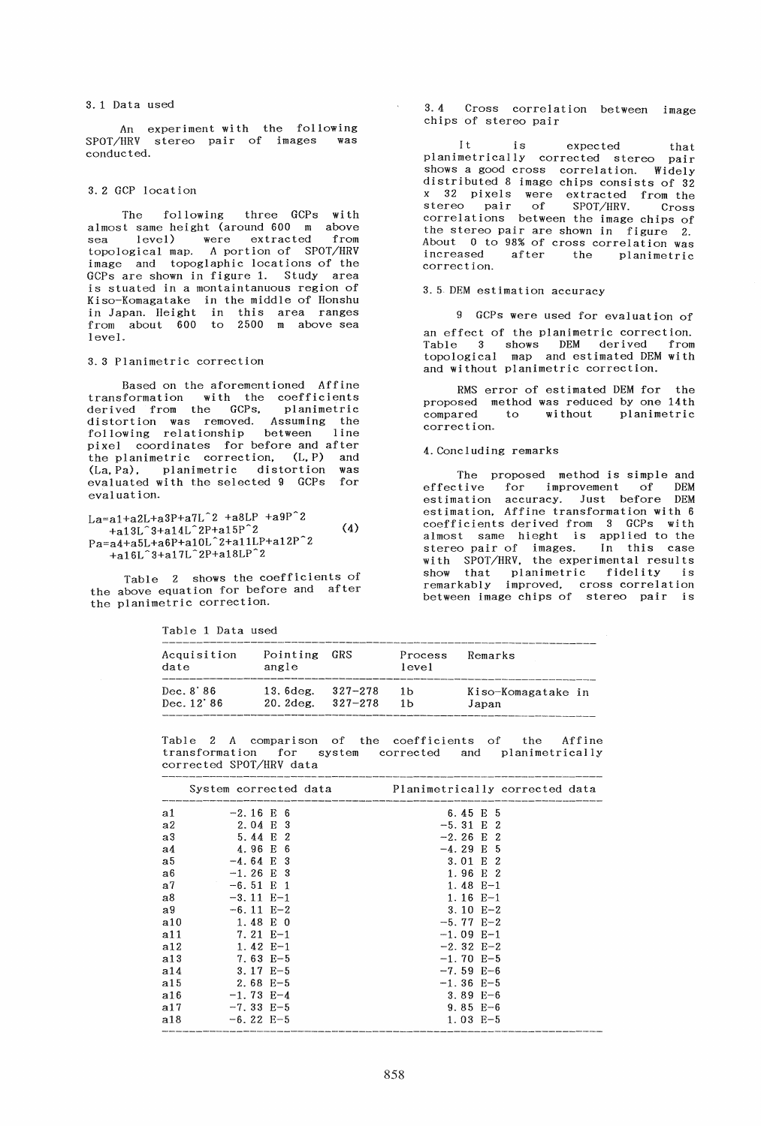#### 3. 1 Data used

experiment with the following SPOT/HRV stereo pair of images was conducted.

#### 3. 2 GCP location

The following three GCPs with almost same height (around 600 m above sea level) were extracted from topological map. A portion of SPOT/HRV image and topoglaphic locations of the GCPs are shown in figure 1. Study area is stuated in a montaintanuous region of Kiso-Komagatake in the middle of Honshu in Japan. Height in this area ranges from about 600 to 2500 m above sea level.

### 3.3 Planimetric correction

Based on the aforementioned Affine transformation with the coefficients derived from the GCPs. planimetric distortion was removed. Assuming the following relationship between line pixel coordinates for before and after the planimetric correction, (L, P) and<br>(La, Pa), planimetric distortion was  $(La, Pa)$ , planimetric distortion evaluated with the selected 9 GCPs for eval uat ion.

# $La=a1+a2L+a3P+a7L^2+a8LP +a9P^2$  $+$ <sub>a</sub>13L<sup> $\hat{ }$ </sup>3+a14L $\hat{ }$ 2P+a15P $\hat{ }$ 2  $(4)$ Pa=a4+a5L+a6P+al0L~2+allLP+a12P 2 +a16L~3+a17L~2P+a18LP~2

Table 2 shows the coefficients of the above equation for before and after the planimetric correction.

Table 1 Data used

3.4 Cross correlation between image chips of stereo pair

It is expected that planimetrically corrected stereo pair shows a good cross correlation. Widely distributed 8 image chips consists of 32 x 32 pixels were extracted from the stereo pair of SPOT/HRV. Cross correlations between the image chips of the stereo pair are shown in figure 2. About 0 to 98% of cross correlation was increased after the planimetric correct ion.

## 3.5 DEM estimation accuracy

9 GCPs were used for evaluation of an effect of the planimetric correction. Table 3 shows DEM derived from topological map and estimated DEM with and without planimetric correction.

RMS error of estimated DEM for the proposed method was reduced by one 14th to without planimetric correc t ion.

#### 4. Concluding remarks

The proposed method is simple and effective for improvement of DEM estimation accuracy. Just before DEM estimation, Affine transformation with 6 coefficients derived from 3 GCPs with almost same hieght is applied to the stereo pair of images. In this case with SPOT/HRV. the experimental results show that planimetric fidelity is remarkably improved. cross correlation between image chips of stereo pair is

| Acquisition<br>date | Pointing<br>angle     | GRS     | Process<br>level | Remarks            |
|---------------------|-----------------------|---------|------------------|--------------------|
| Dec. 8'86           | 13.6deg.              | 327-278 | 1 <sub>b</sub>   | Kiso-Komagatake in |
| Dec. 12'86          | $20.2$ deg. $327-278$ |         | 1 <sub>b</sub>   | Japan              |

Table 2 A comparison of the coefficients of the Affine transformation for system corrected and planimetrically corrected SPOT/HRV data

|                |                      | System corrected data <b>Example Planimetrically corrected data</b> |
|----------------|----------------------|---------------------------------------------------------------------|
| a1             | $-2.16 \mathrm{E} 6$ | 6.45 E 5                                                            |
| a2             | 2.04 E 3             | $-5.31 \t E \t 2$                                                   |
| a3             | 5.44 E 2             | $-2.26 E$ 2                                                         |
| a4             | 4.96 E 6             | $-4.29 E_5$                                                         |
| a5             | $-4.64 \mathrm{E}$ 3 | 3.01 E 2                                                            |
| a6             | $-1.26 \mathrm{E}$ 3 | 1.96 E 2                                                            |
| a <sub>7</sub> | $-6.51 \t{E}1$       | $1.48 E-1$                                                          |
| a8             | $-3.11 E-1$          | $1.16 E-1$                                                          |
| a9             | $-6.11 E-2$          | $3.10 E-2$                                                          |
| a10            | 1.48 E 0             | $-5.77$ E-2                                                         |
| a11            | 7.21 E-1             | $-1.09$ E-1                                                         |
| a12            | $1.42 E-1$           | $-2.32 E-2$                                                         |
| a13            | 7.63 E-5             | $-1.70 E-5$                                                         |
| a14            | $3.17$ E-5           | $-7.59$ E-6                                                         |
| a15            | $2.68 E-5$           | $-1.36 E-5$                                                         |
| a16            | $-1.73 E-4$          | $3.89 E - 6$                                                        |
| a17            | $-7.33 E-5$          | $9.85 E-6$                                                          |
| a18            | $-6.22$ E-5          | $1.03 E-5$                                                          |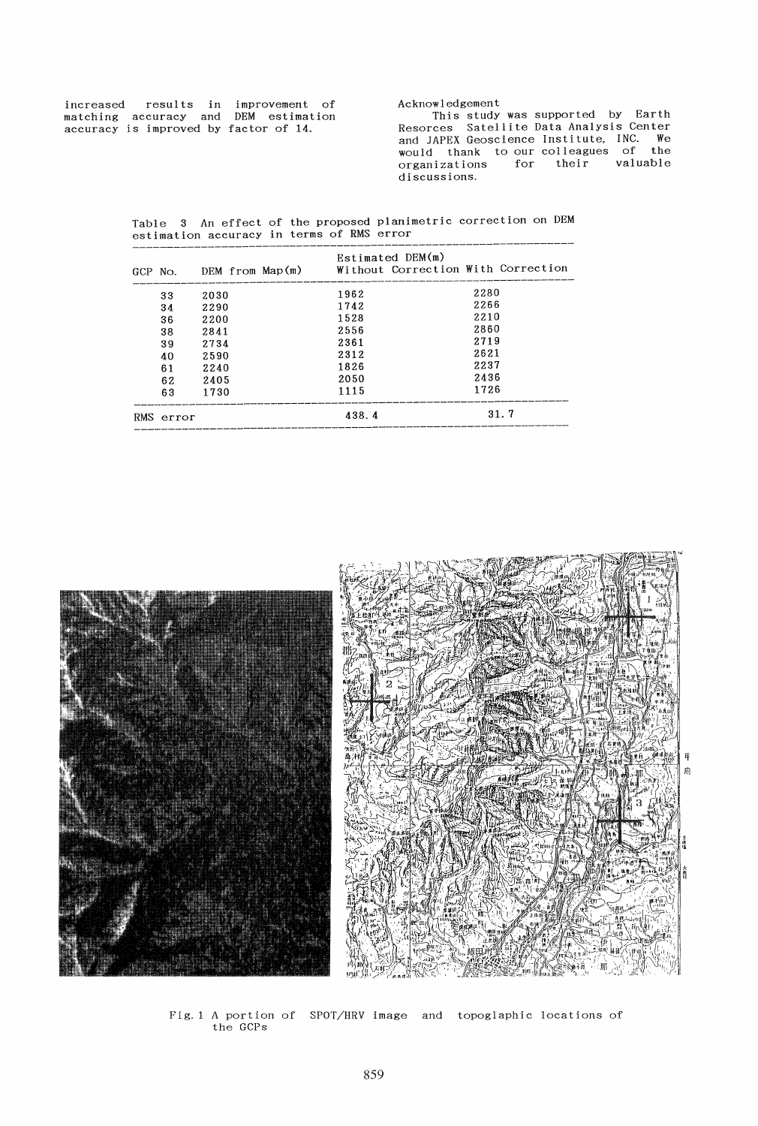| increased                             | results in improvement of |  |  |
|---------------------------------------|---------------------------|--|--|
| matching accuracy and DEM estimation  |                           |  |  |
| accuracy is improved by factor of 14. |                           |  |  |

Acknowledgement This study was supported by Earth Resorces Satellite Data Analysis Center and JAPEX Geoscience Institute, INC. We would thank to our colleagues of the

discussions.

organizations for their valuable

Table 3 An effect of the proposed planimetric correction on DEM estimation accuracy in terms of RMS error

| GCP No. |           | DEM from Map(m) | Estimated DEM(m)<br>Without Correction With Correction |      |  |
|---------|-----------|-----------------|--------------------------------------------------------|------|--|
|         | 33        | 2030            | 1962                                                   | 2280 |  |
|         | 34        | 2290            | 1742                                                   | 2266 |  |
|         | 36        | 2200            | 1528                                                   | 2210 |  |
|         | 38        | 2841            | 2556                                                   | 2860 |  |
|         | 39        | 2734            | 2361                                                   | 2719 |  |
|         | 40        | 2590            | 2312                                                   | 2621 |  |
|         | 61        | 2240            | 1826                                                   | 2237 |  |
|         | 62        | 2405            | 2050                                                   | 2436 |  |
|         | 63        | 1730            | 1115                                                   | 1726 |  |
|         | RMS error |                 | 438.4                                                  | 31.7 |  |



Fig.1 A portion of SPOT/HRV image and topoglaphic locations of the GCPs